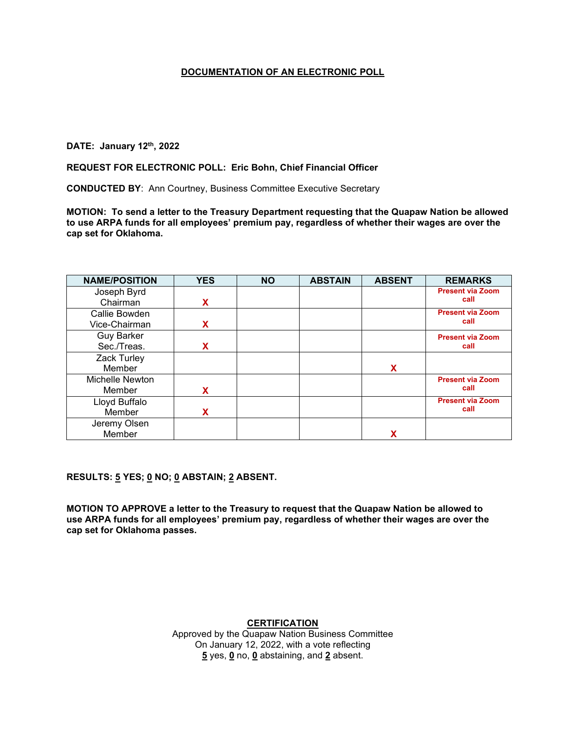## **DATE: January 12th, 2022**

#### **REQUEST FOR ELECTRONIC POLL: Eric Bohn, Chief Financial Officer**

**CONDUCTED BY**: Ann Courtney, Business Committee Executive Secretary

**MOTION: To send a letter to the Treasury Department requesting that the Quapaw Nation be allowed to use ARPA funds for all employees' premium pay, regardless of whether their wages are over the cap set for Oklahoma.**

| <b>NAME/POSITION</b> | <b>YES</b> | <b>NO</b> | <b>ABSTAIN</b> | <b>ABSENT</b> | <b>REMARKS</b>          |
|----------------------|------------|-----------|----------------|---------------|-------------------------|
| Joseph Byrd          |            |           |                |               | <b>Present via Zoom</b> |
| Chairman             | X          |           |                |               | call                    |
| Callie Bowden        |            |           |                |               | <b>Present via Zoom</b> |
| Vice-Chairman        | X          |           |                |               | call                    |
| <b>Guy Barker</b>    |            |           |                |               | <b>Present via Zoom</b> |
| Sec./Treas.          | X          |           |                |               | call                    |
| Zack Turley          |            |           |                |               |                         |
| Member               |            |           |                | X             |                         |
| Michelle Newton      |            |           |                |               | <b>Present via Zoom</b> |
| Member               | X          |           |                |               | call                    |
| Lloyd Buffalo        |            |           |                |               | <b>Present via Zoom</b> |
| Member               | x          |           |                |               | call                    |
| Jeremy Olsen         |            |           |                |               |                         |
| Member               |            |           |                | х             |                         |

**RESULTS: 5 YES; 0 NO; 0 ABSTAIN; 2 ABSENT.** 

**MOTION TO APPROVE a letter to the Treasury to request that the Quapaw Nation be allowed to use ARPA funds for all employees' premium pay, regardless of whether their wages are over the cap set for Oklahoma passes.**

**CERTIFICATION**

Approved by the Quapaw Nation Business Committee On January 12, 2022, with a vote reflecting **5** yes, **0** no, **0** abstaining, and **2** absent.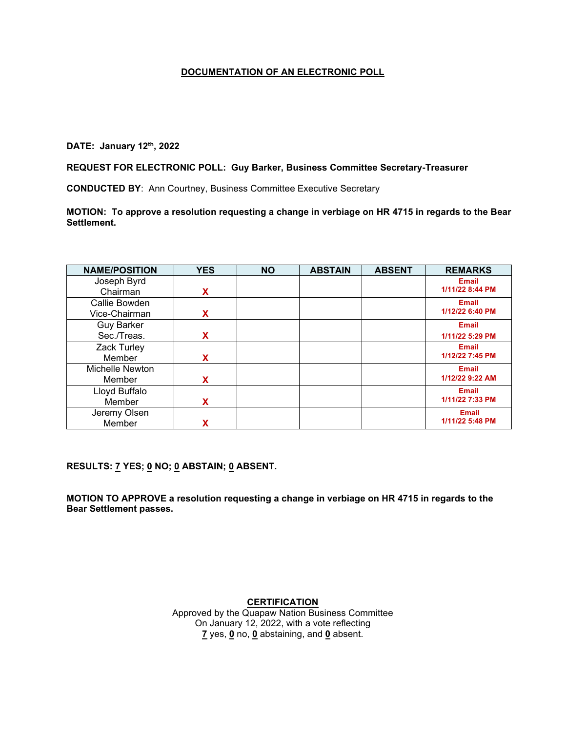**DATE: January 12th, 2022**

#### **REQUEST FOR ELECTRONIC POLL: Guy Barker, Business Committee Secretary-Treasurer**

**CONDUCTED BY**: Ann Courtney, Business Committee Executive Secretary

**MOTION: To approve a resolution requesting a change in verbiage on HR 4715 in regards to the Bear Settlement.**

| <b>NAME/POSITION</b> | <b>YES</b> | <b>NO</b> | <b>ABSTAIN</b> | <b>ABSENT</b> | <b>REMARKS</b>  |
|----------------------|------------|-----------|----------------|---------------|-----------------|
| Joseph Byrd          |            |           |                |               | <b>Email</b>    |
| Chairman             | X          |           |                |               | 1/11/22 8:44 PM |
| Callie Bowden        |            |           |                |               | <b>Email</b>    |
| Vice-Chairman        | X          |           |                |               | 1/12/22 6:40 PM |
| <b>Guy Barker</b>    |            |           |                |               | <b>Email</b>    |
| Sec./Treas.          | X          |           |                |               | 1/11/22 5:29 PM |
| <b>Zack Turley</b>   |            |           |                |               | <b>Email</b>    |
| Member               | X          |           |                |               | 1/12/22 7:45 PM |
| Michelle Newton      |            |           |                |               | <b>Email</b>    |
| Member               | X          |           |                |               | 1/12/22 9:22 AM |
| Lloyd Buffalo        |            |           |                |               | <b>Email</b>    |
| Member               | X          |           |                |               | 1/11/22 7:33 PM |
| Jeremy Olsen         |            |           |                |               | <b>Email</b>    |
| Member               | χ          |           |                |               | 1/11/22 5:48 PM |

**RESULTS: 7 YES; 0 NO; 0 ABSTAIN; 0 ABSENT.** 

**MOTION TO APPROVE a resolution requesting a change in verbiage on HR 4715 in regards to the Bear Settlement passes.**

**CERTIFICATION**

Approved by the Quapaw Nation Business Committee On January 12, 2022, with a vote reflecting **7** yes, **0** no, **0** abstaining, and **0** absent.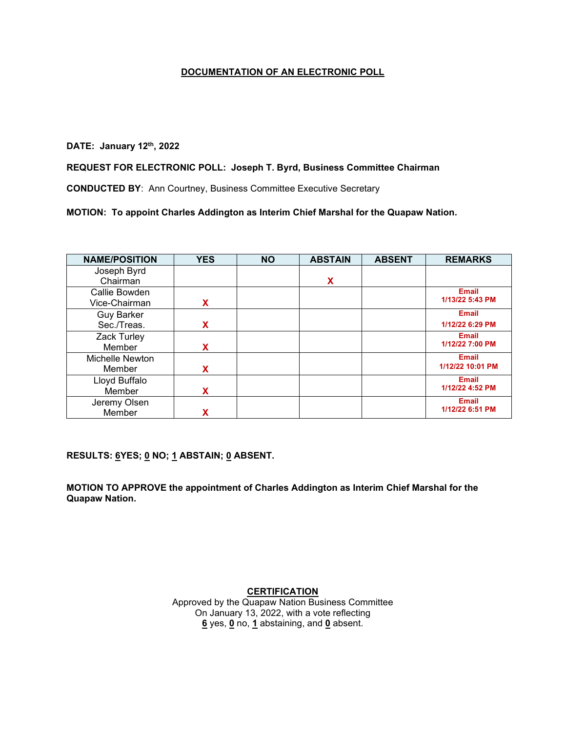# **DATE: January 12th, 2022**

#### **REQUEST FOR ELECTRONIC POLL: Joseph T. Byrd, Business Committee Chairman**

**CONDUCTED BY**: Ann Courtney, Business Committee Executive Secretary

**MOTION: To appoint Charles Addington as Interim Chief Marshal for the Quapaw Nation.**

| <b>NAME/POSITION</b> | <b>YES</b> | <b>NO</b> | <b>ABSTAIN</b> | <b>ABSENT</b> | <b>REMARKS</b>   |
|----------------------|------------|-----------|----------------|---------------|------------------|
| Joseph Byrd          |            |           |                |               |                  |
| Chairman             |            |           | X              |               |                  |
| Callie Bowden        |            |           |                |               | <b>Email</b>     |
| Vice-Chairman        | X          |           |                |               | 1/13/22 5:43 PM  |
| <b>Guy Barker</b>    |            |           |                |               | <b>Email</b>     |
| Sec./Treas.          | X          |           |                |               | 1/12/22 6:29 PM  |
| Zack Turley          |            |           |                |               | <b>Email</b>     |
| Member               | X          |           |                |               | 1/12/22 7:00 PM  |
| Michelle Newton      |            |           |                |               | <b>Email</b>     |
| Member               | X          |           |                |               | 1/12/22 10:01 PM |
| Lloyd Buffalo        |            |           |                |               | <b>Email</b>     |
| Member               | x          |           |                |               | 1/12/22 4:52 PM  |
| Jeremy Olsen         |            |           |                |               | <b>Email</b>     |
| Member               |            |           |                |               | 1/12/22 6:51 PM  |

**RESULTS: 6YES; 0 NO; 1 ABSTAIN; 0 ABSENT.** 

**MOTION TO APPROVE the appointment of Charles Addington as Interim Chief Marshal for the Quapaw Nation.**

**CERTIFICATION**

Approved by the Quapaw Nation Business Committee On January 13, 2022, with a vote reflecting **6** yes, **0** no, **1** abstaining, and **0** absent.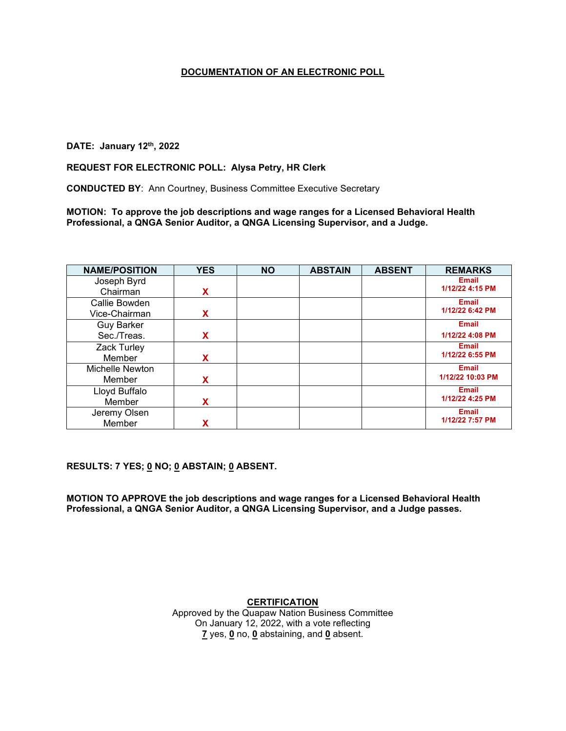## **DATE: January 12th, 2022**

#### **REQUEST FOR ELECTRONIC POLL: Alysa Petry, HR Clerk**

**CONDUCTED BY**: Ann Courtney, Business Committee Executive Secretary

**MOTION: To approve the job descriptions and wage ranges for a Licensed Behavioral Health Professional, a QNGA Senior Auditor, a QNGA Licensing Supervisor, and a Judge.**

| <b>NAME/POSITION</b> | <b>YES</b> | <b>NO</b> | <b>ABSTAIN</b> | <b>ABSENT</b> | <b>REMARKS</b>   |
|----------------------|------------|-----------|----------------|---------------|------------------|
| Joseph Byrd          |            |           |                |               | Email            |
| Chairman             | X          |           |                |               | 1/12/22 4:15 PM  |
| Callie Bowden        |            |           |                |               | <b>Email</b>     |
| Vice-Chairman        | X          |           |                |               | 1/12/22 6:42 PM  |
| <b>Guy Barker</b>    |            |           |                |               | <b>Email</b>     |
| Sec./Treas.          | X          |           |                |               | 1/12/22 4:08 PM  |
| <b>Zack Turley</b>   |            |           |                |               | <b>Email</b>     |
| Member               | x          |           |                |               | 1/12/22 6:55 PM  |
| Michelle Newton      |            |           |                |               | <b>Email</b>     |
| Member               | x          |           |                |               | 1/12/22 10:03 PM |
| Lloyd Buffalo        |            |           |                |               | <b>Email</b>     |
| Member               | x          |           |                |               | 1/12/22 4:25 PM  |
| Jeremy Olsen         |            |           |                |               | <b>Email</b>     |
| Member               | χ          |           |                |               | 1/12/22 7:57 PM  |

**RESULTS: 7 YES; 0 NO; 0 ABSTAIN; 0 ABSENT.** 

**MOTION TO APPROVE the job descriptions and wage ranges for a Licensed Behavioral Health Professional, a QNGA Senior Auditor, a QNGA Licensing Supervisor, and a Judge passes.**

#### **CERTIFICATION**

Approved by the Quapaw Nation Business Committee On January 12, 2022, with a vote reflecting **7** yes, **0** no, **0** abstaining, and **0** absent.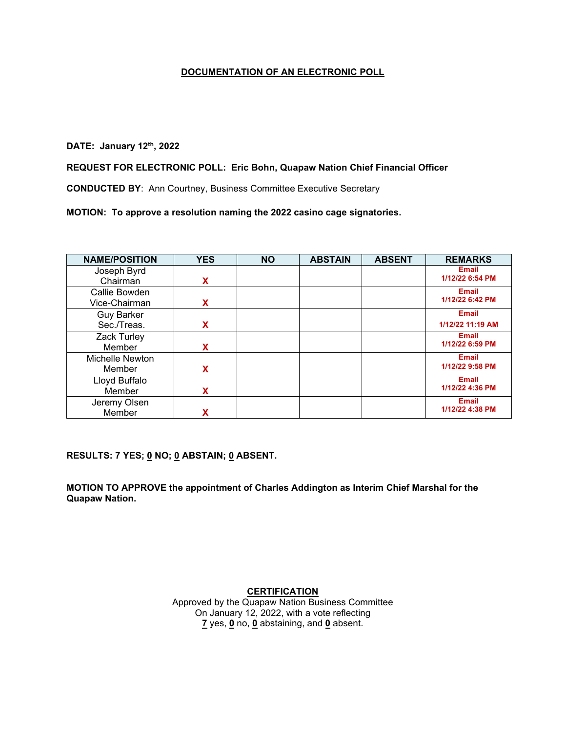# **DATE: January 12th, 2022**

#### **REQUEST FOR ELECTRONIC POLL: Eric Bohn, Quapaw Nation Chief Financial Officer**

**CONDUCTED BY**: Ann Courtney, Business Committee Executive Secretary

**MOTION: To approve a resolution naming the 2022 casino cage signatories.**

| <b>NAME/POSITION</b> | <b>YES</b> | <b>NO</b> | <b>ABSTAIN</b> | <b>ABSENT</b> | <b>REMARKS</b>   |
|----------------------|------------|-----------|----------------|---------------|------------------|
| Joseph Byrd          |            |           |                |               | <b>Email</b>     |
| Chairman             | x          |           |                |               | 1/12/22 6:54 PM  |
| Callie Bowden        |            |           |                |               | <b>Email</b>     |
| Vice-Chairman        | x          |           |                |               | 1/12/22 6:42 PM  |
| <b>Guy Barker</b>    |            |           |                |               | <b>Email</b>     |
| Sec./Treas.          | X          |           |                |               | 1/12/22 11:19 AM |
| Zack Turley          |            |           |                |               | <b>Email</b>     |
| Member               | X          |           |                |               | 1/12/22 6:59 PM  |
| Michelle Newton      |            |           |                |               | <b>Email</b>     |
| Member               | X          |           |                |               | 1/12/22 9:58 PM  |
| Lloyd Buffalo        |            |           |                |               | <b>Email</b>     |
| Member               | x          |           |                |               | 1/12/22 4:36 PM  |
| Jeremy Olsen         |            |           |                |               | <b>Email</b>     |
| Member               |            |           |                |               | 1/12/22 4:38 PM  |

**RESULTS: 7 YES; 0 NO; 0 ABSTAIN; 0 ABSENT.** 

**MOTION TO APPROVE the appointment of Charles Addington as Interim Chief Marshal for the Quapaw Nation.**

**CERTIFICATION**

Approved by the Quapaw Nation Business Committee On January 12, 2022, with a vote reflecting **7** yes, **0** no, **0** abstaining, and **0** absent.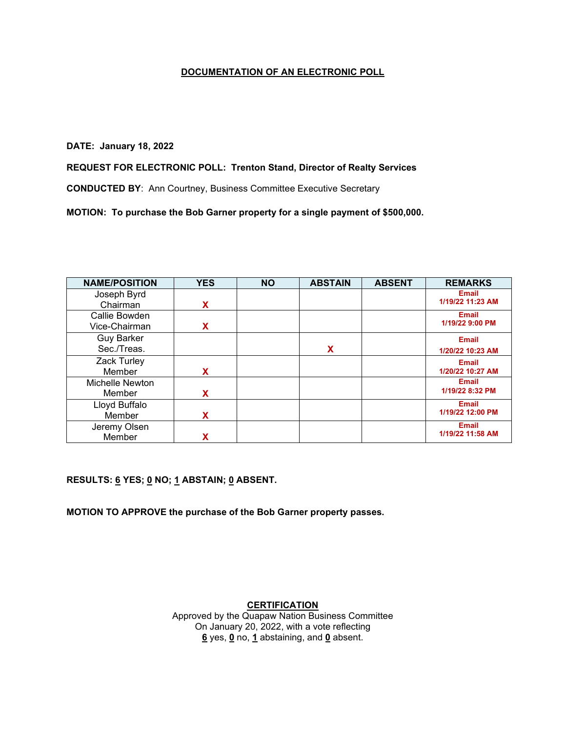#### **DATE: January 18, 2022**

## **REQUEST FOR ELECTRONIC POLL: Trenton Stand, Director of Realty Services**

**CONDUCTED BY**: Ann Courtney, Business Committee Executive Secretary

**MOTION: To purchase the Bob Garner property for a single payment of \$500,000.**

| <b>NAME/POSITION</b> | <b>YES</b> | <b>NO</b> | <b>ABSTAIN</b> | <b>ABSENT</b> | <b>REMARKS</b>   |
|----------------------|------------|-----------|----------------|---------------|------------------|
| Joseph Byrd          |            |           |                |               | <b>Email</b>     |
| Chairman             | X          |           |                |               | 1/19/22 11:23 AM |
| Callie Bowden        |            |           |                |               | <b>Email</b>     |
| Vice-Chairman        | x          |           |                |               | 1/19/22 9:00 PM  |
| <b>Guy Barker</b>    |            |           |                |               | <b>Email</b>     |
| Sec./Treas.          |            |           | χ              |               | 1/20/22 10:23 AM |
| Zack Turley          |            |           |                |               | <b>Email</b>     |
| Member               | X          |           |                |               | 1/20/22 10:27 AM |
| Michelle Newton      |            |           |                |               | <b>Email</b>     |
| Member               | X          |           |                |               | 1/19/22 8:32 PM  |
| Lloyd Buffalo        |            |           |                |               | <b>Email</b>     |
| Member               | x          |           |                |               | 1/19/22 12:00 PM |
| Jeremy Olsen         |            |           |                |               | <b>Email</b>     |
| Member               |            |           |                |               | 1/19/22 11:58 AM |

**RESULTS: 6 YES; 0 NO; 1 ABSTAIN; 0 ABSENT.** 

**MOTION TO APPROVE the purchase of the Bob Garner property passes.**

## **CERTIFICATION**

Approved by the Quapaw Nation Business Committee On January 20, 2022, with a vote reflecting **6** yes, **0** no, **1** abstaining, and **0** absent.